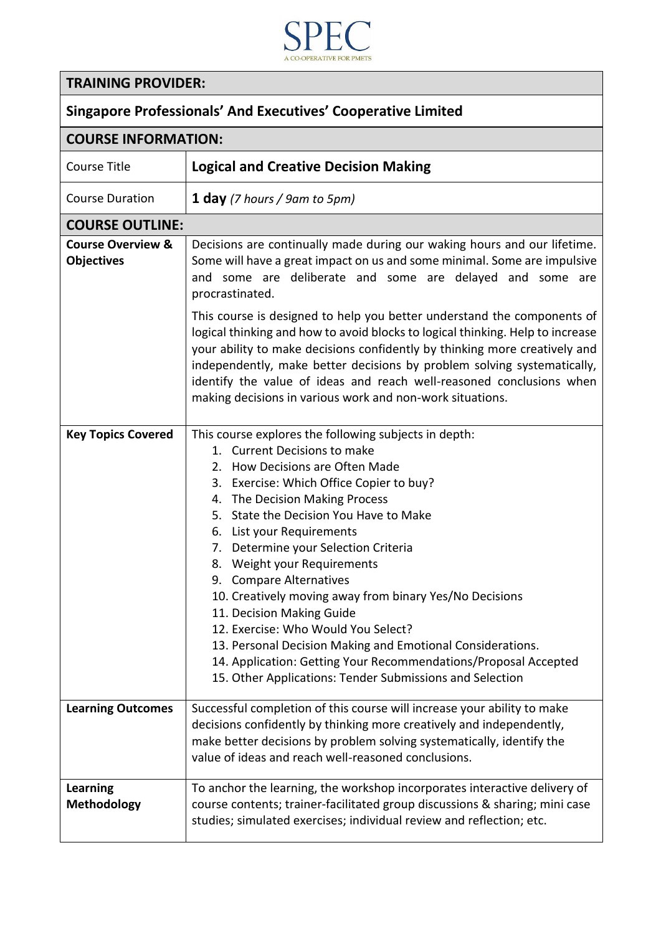

## **TRAINING PROVIDER:**

| <b>COURSE INFORMATION:</b>                        |                                                                                                                                                                                                                                                                                                                                                                                                                                                                                                                                                                                                                                                                                                             |  |
|---------------------------------------------------|-------------------------------------------------------------------------------------------------------------------------------------------------------------------------------------------------------------------------------------------------------------------------------------------------------------------------------------------------------------------------------------------------------------------------------------------------------------------------------------------------------------------------------------------------------------------------------------------------------------------------------------------------------------------------------------------------------------|--|
| Course Title                                      | <b>Logical and Creative Decision Making</b>                                                                                                                                                                                                                                                                                                                                                                                                                                                                                                                                                                                                                                                                 |  |
| <b>Course Duration</b>                            | <b>1 day</b> (7 hours / 9am to 5pm)                                                                                                                                                                                                                                                                                                                                                                                                                                                                                                                                                                                                                                                                         |  |
| <b>COURSE OUTLINE:</b>                            |                                                                                                                                                                                                                                                                                                                                                                                                                                                                                                                                                                                                                                                                                                             |  |
| <b>Course Overview &amp;</b><br><b>Objectives</b> | Decisions are continually made during our waking hours and our lifetime.<br>Some will have a great impact on us and some minimal. Some are impulsive<br>and some are deliberate and some are delayed and some are<br>procrastinated.                                                                                                                                                                                                                                                                                                                                                                                                                                                                        |  |
|                                                   | This course is designed to help you better understand the components of<br>logical thinking and how to avoid blocks to logical thinking. Help to increase<br>your ability to make decisions confidently by thinking more creatively and<br>independently, make better decisions by problem solving systematically,<br>identify the value of ideas and reach well-reasoned conclusions when<br>making decisions in various work and non-work situations.                                                                                                                                                                                                                                                     |  |
| <b>Key Topics Covered</b>                         | This course explores the following subjects in depth:<br>1. Current Decisions to make<br>2. How Decisions are Often Made<br>3. Exercise: Which Office Copier to buy?<br>4. The Decision Making Process<br>5. State the Decision You Have to Make<br>6. List your Requirements<br>7. Determine your Selection Criteria<br>8. Weight your Requirements<br>9. Compare Alternatives<br>10. Creatively moving away from binary Yes/No Decisions<br>11. Decision Making Guide<br>12. Exercise: Who Would You Select?<br>13. Personal Decision Making and Emotional Considerations.<br>14. Application: Getting Your Recommendations/Proposal Accepted<br>15. Other Applications: Tender Submissions and Selection |  |
| <b>Learning Outcomes</b>                          | Successful completion of this course will increase your ability to make<br>decisions confidently by thinking more creatively and independently,<br>make better decisions by problem solving systematically, identify the<br>value of ideas and reach well-reasoned conclusions.                                                                                                                                                                                                                                                                                                                                                                                                                             |  |
| <b>Learning</b><br><b>Methodology</b>             | To anchor the learning, the workshop incorporates interactive delivery of<br>course contents; trainer-facilitated group discussions & sharing; mini case<br>studies; simulated exercises; individual review and reflection; etc.                                                                                                                                                                                                                                                                                                                                                                                                                                                                            |  |